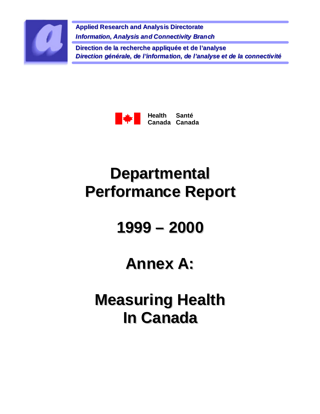

**Applied Research and Analysis Directorate** *Information, Analysis and Connectivity Branch* **Direction de la recherche appliquée et de l'analyse** *Direction générale, de l'information, de l'analyse et de la connectivité*



# **Departmental Performance Report**

# **1999 – 2000**

## **Annex A:**

**Measuring Health In Canada**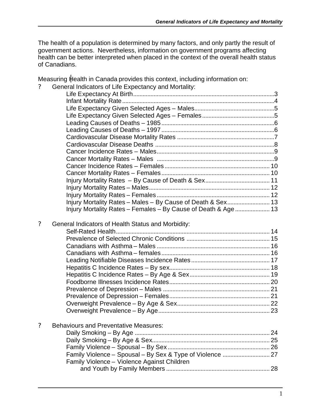The health of a population is determined by many factors, and only partly the result of government actions. Nevertheless, information on government programs affecting health can be better interpreted when placed in the context of the overall health status of Canadians.

Measuring Health in Canada provides this context, including information on:

|  |  |  |  |  | General Indicators of Life Expectancy and Mortality: |
|--|--|--|--|--|------------------------------------------------------|
|--|--|--|--|--|------------------------------------------------------|

| Injury Mortality Rates - Males - By Cause of Death & Sex 13    |  |
|----------------------------------------------------------------|--|
| Injury Mortality Rates - Females - By Cause of Death & Age  13 |  |

#### ? General Indicators of Health Status and Morbidity:

#### ? Behaviours and Preventative Measures:

| Family Violence - Violence Against Children |  |
|---------------------------------------------|--|
|                                             |  |
|                                             |  |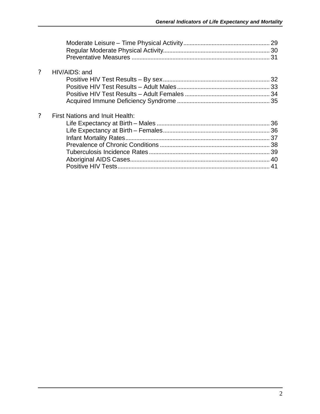| $\gamma$ | HIV/AIDS: and                   |  |
|----------|---------------------------------|--|
| $\gamma$ | First Nations and Inuit Health: |  |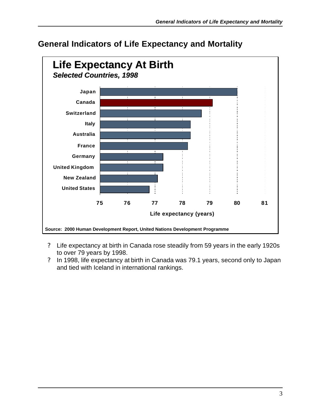

### **General Indicators of Life Expectancy and Mortality**

- ? Life expectancy at birth in Canada rose steadily from 59 years in the early 1920s to over 79 years by 1998.
- ? In 1998, life expectancy at birth in Canada was 79.1 years, second only to Japan and tied with Iceland in international rankings.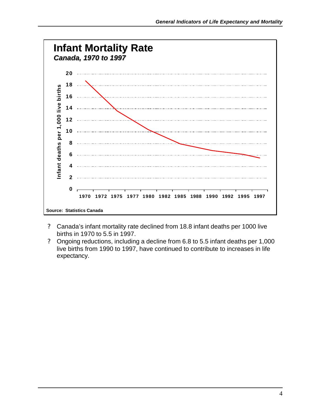

- ? Canada's infant mortality rate declined from 18.8 infant deaths per 1000 live births in 1970 to 5.5 in 1997.
- ? Ongoing reductions, including a decline from 6.8 to 5.5 infant deaths per 1,000 live births from 1990 to 1997, have continued to contribute to increases in life expectancy.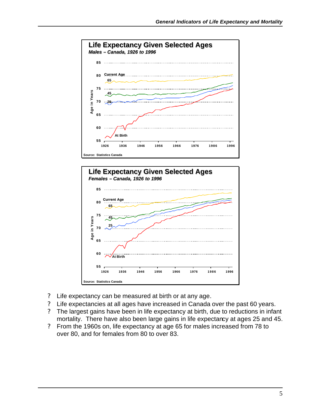



- ? Life expectancy can be measured at birth or at any age.
- ? Life expectancies at all ages have increased in Canada over the past 60 years.
- ? The largest gains have been in life expectancy at birth, due to reductions in infant mortality. There have also been large gains in life expectancy at ages 25 and 45.
- ? From the 1960s on, life expectancy at age 65 for males increased from 78 to over 80, and for females from 80 to over 83.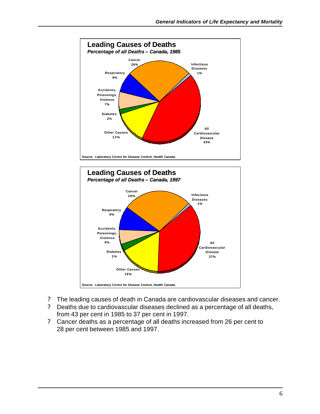



- ? The leading causes of death in Canada are cardiovascular diseases and cancer.
- ? Deaths due to cardiovascular diseases declined as a percentage of all deaths, from 43 per cent in 1985 to 37 per cent in 1997.
- ? Cancer deaths as a percentage of all deaths increased from 26 per cent to 28 per cent between 1985 and 1997.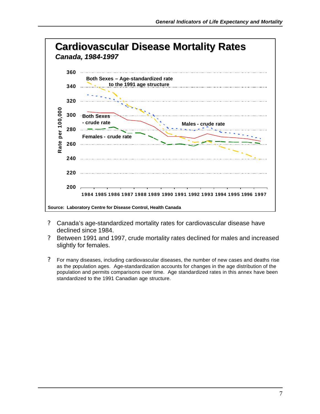

- ? Canada's age-standardized mortality rates for cardiovascular disease have declined since 1984.
- ? Between 1991 and 1997, crude mortality rates declined for males and increased slightly for females.
- ? For many diseases, including cardiovascular diseases, the number of new cases and deaths rise as the population ages. Age-standardization accounts for changes in the age distribution of the population and permits comparisons over time. Age standardized rates in this annex have been standardized to the 1991 Canadian age structure.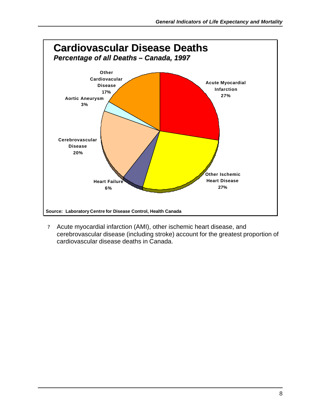

? Acute myocardial infarction (AMI), other ischemic heart disease, and cerebrovascular disease (including stroke) account for the greatest proportion of cardiovascular disease deaths in Canada.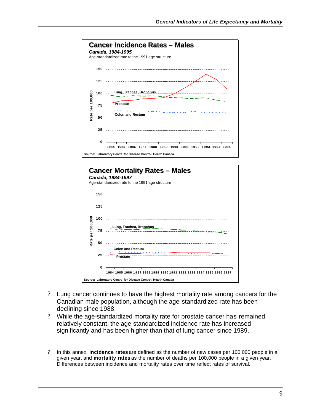



- ? Lung cancer continues to have the highest mortality rate among cancers for the Canadian male population, although the age-standardized rate has been declining since 1988.
- ? While the age-standardized mortality rate for prostate cancer has remained relatively constant, the age-standardized incidence rate has increased significantly and has been higher than that of lung cancer since 1989.
- ? In this annex, **incidence rates** are defined as the number of new cases per 100,000 people in a given year, and **mortality rates** as the number of deaths per 100,000 people in a given year. Differences between incidence and mortality rates over time reflect rates of survival.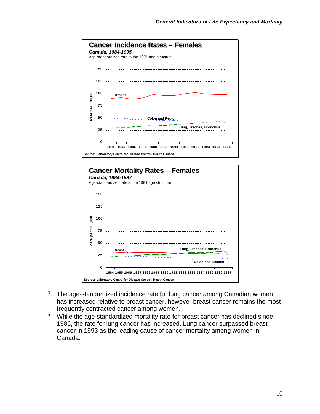



- ? The age-standardized incidence rate for lung cancer among Canadian women has increased relative to breast cancer, however breast cancer remains the most frequently contracted cancer among women.
- ? While the age-standardized mortality rate for breast cancer has declined since 1986, the rate for lung cancer has increased. Lung cancer surpassed breast cancer in 1993 as the leading cause of cancer mortality among women in Canada.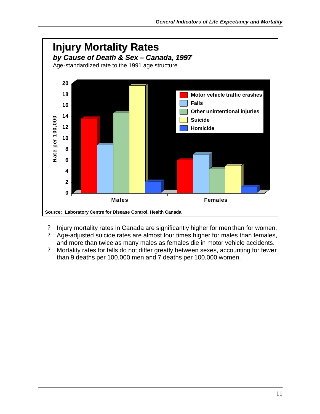

- ? Injury mortality rates in Canada are significantly higher for men than for women.
- ? Age-adjusted suicide rates are almost four times higher for males than females, and more than twice as many males as females die in motor vehicle accidents.
- ? Mortality rates for falls do not differ greatly between sexes, accounting for fewer than 9 deaths per 100,000 men and 7 deaths per 100,000 women.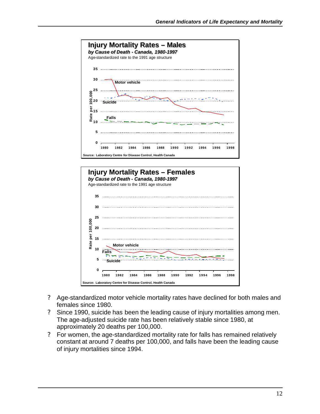



- ? Age-standardized motor vehicle mortality rates have declined for both males and females since 1980.
- ? Since 1990, suicide has been the leading cause of injury mortalities among men. The age-adjusted suicide rate has been relatively stable since 1980, at approximately 20 deaths per 100,000.
- ? For women, the age-standardized mortality rate for falls has remained relatively constant at around 7 deaths per 100,000, and falls have been the leading cause of injury mortalities since 1994.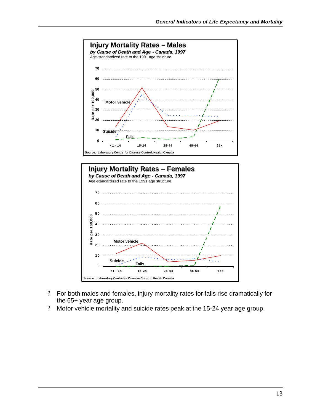



- ? For both males and females, injury mortality rates for falls rise dramatically for the 65+ year age group.
- ? Motor vehicle mortality and suicide rates peak at the 15-24 year age group.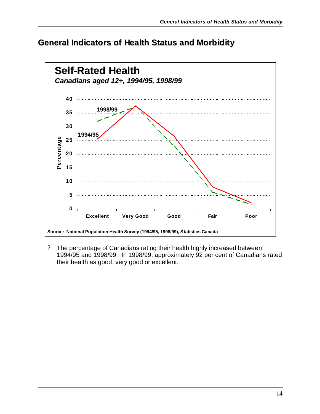#### **General Indicators of Health Status and Morbidity**



? The percentage of Canadians rating their health highly increased between 1994/95 and 1998/99. In 1998/99, approximately 92 per cent of Canadians rated their health as good, very good or excellent.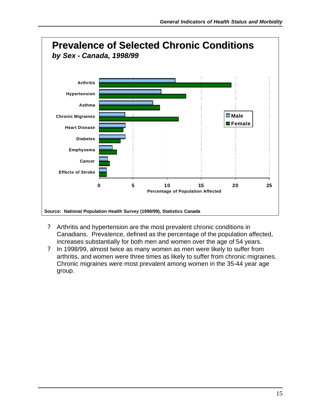

- ? Arthritis and hypertension are the most prevalent chronic conditions in Canadians. Prevalence, defined as the percentage of the population affected, increases substantially for both men and women over the age of 54 years.
- ? In 1998/99, almost twice as many women as men were likely to suffer from arthritis, and women were three times as likely to suffer from chronic migraines. Chronic migraines were most prevalent among women in the 35-44 year age group.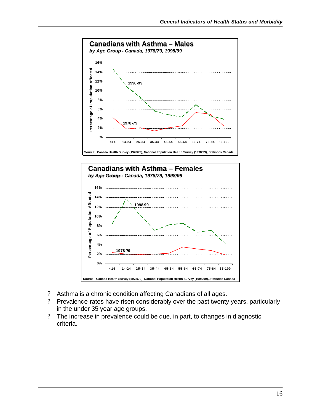



- ? Asthma is a chronic condition affecting Canadians of all ages.
- ? Prevalence rates have risen considerably over the past twenty years, particularly in the under 35 year age groups.
- ? The increase in prevalence could be due, in part, to changes in diagnostic criteria.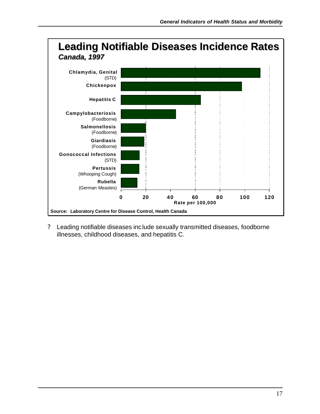

? Leading notifiable diseases include sexually transmitted diseases, foodborne illnesses, childhood diseases, and hepatitis C.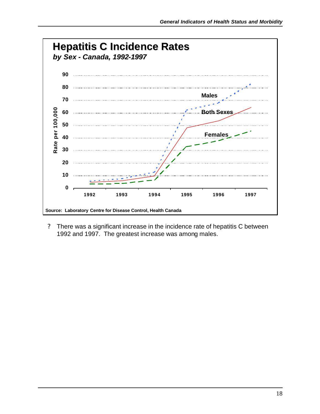

? There was a significant increase in the incidence rate of hepatitis C between 1992 and 1997. The greatest increase was among males.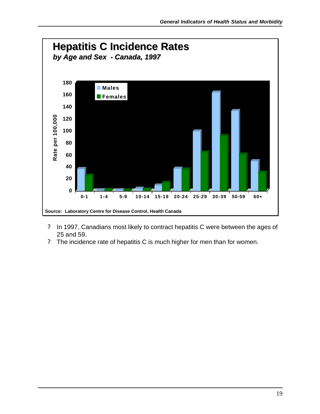

- ? In 1997, Canadians most likely to contract hepatitis C were between the ages of 25 and 59.
- ? The incidence rate of hepatitis C is much higher for men than for women.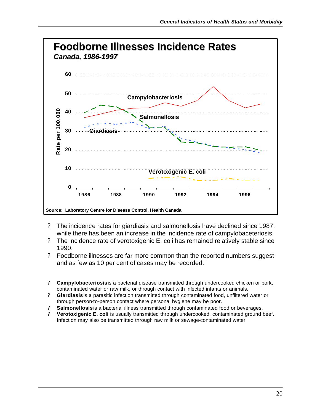

- ? The incidence rates for giardiasis and salmonellosis have declined since 1987, while there has been an increase in the incidence rate of campylobaceteriosis.
- ? The incidence rate of verotoxigenic E. coli has remained relatively stable since 1990.
- ? Foodborne illnesses are far more common than the reported numbers suggest and as few as 10 per cent of cases may be recorded.
- ? **Campylobacteriosis** is a bacterial disease transmitted through undercooked chicken or pork, contaminated water or raw milk, or through contact with infected infants or animals.
- ? **Giardiasis** is a parasitic infection transmitted through contaminated food, unfiltered water or through person-to-person contact where personal hygiene may be poor.
- ? **Salmonellosis** is a bacterial illness transmitted through contaminated food or beverages.
- ? **Verotoxigenic E. coli** is usually transmitted through undercooked, contaminated ground beef. Infection may also be transmitted through raw milk or sewage-contaminated water.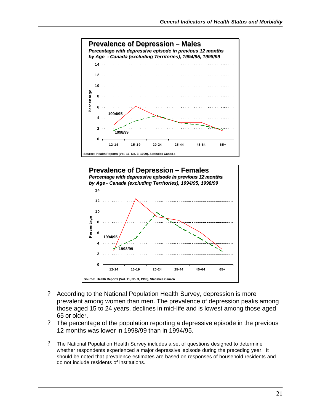



- ? According to the National Population Health Survey, depression is more prevalent among women than men. The prevalence of depression peaks among those aged 15 to 24 years, declines in mid-life and is lowest among those aged 65 or older.
- ? The percentage of the population reporting a depressive episode in the previous 12 months was lower in 1998/99 than in 1994/95.
- ? The National Population Health Survey includes a set of questions designed to determine whether respondents experienced a major depressive episode during the preceding year. It should be noted that prevalence estimates are based on responses of household residents and do not include residents of institutions.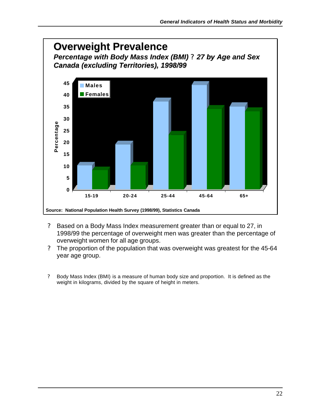

- ? Based on a Body Mass Index measurement greater than or equal to 27, in 1998/99 the percentage of overweight men was greater than the percentage of overweight women for all age groups.
- ? The proportion of the population that was overweight was greatest for the 45-64 year age group.
- ? Body Mass Index (BMI) is a measure of human body size and proportion. It is defined as the weight in kilograms, divided by the square of height in meters.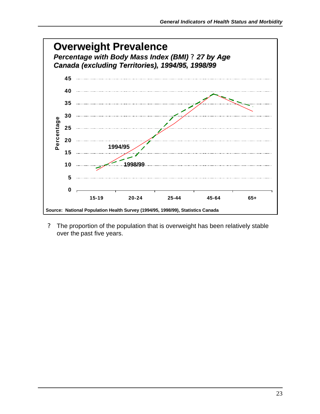

? The proportion of the population that is overweight has been relatively stable over the past five years.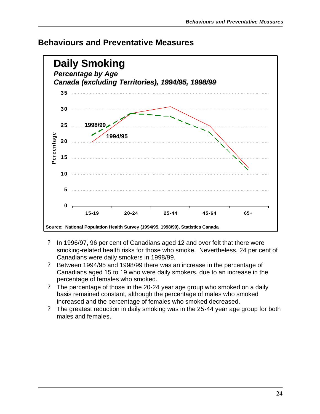

#### **Behaviours and Preventative Measures**

- ? In 1996/97, 96 per cent of Canadians aged 12 and over felt that there were smoking-related health risks for those who smoke. Nevertheless, 24 per cent of Canadians were daily smokers in 1998/99.
- ? Between 1994/95 and 1998/99 there was an increase in the percentage of Canadians aged 15 to 19 who were daily smokers, due to an increase in the percentage of females who smoked.
- ? The percentage of those in the 20-24 year age group who smoked on a daily basis remained constant, although the percentage of males who smoked increased and the percentage of females who smoked decreased.
- ? The greatest reduction in daily smoking was in the 25-44 year age group for both males and females.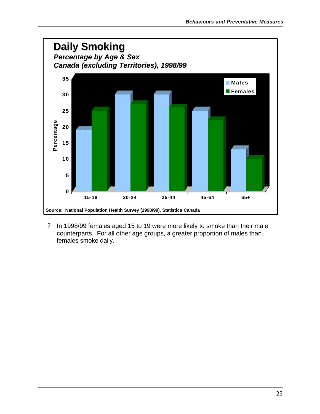

? In 1998/99 females aged 15 to 19 were more likely to smoke than their male counterparts. For all other age groups, a greater proportion of males than females smoke daily.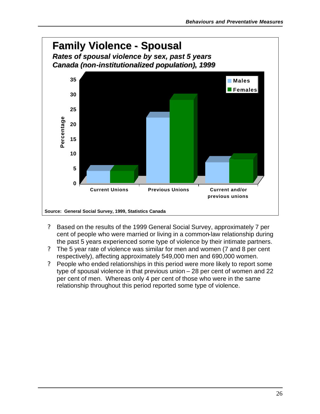

- ? Based on the results of the 1999 General Social Survey, approximately 7 per cent of people who were married or living in a common-law relationship during the past 5 years experienced some type of violence by their intimate partners.
- ? The 5 year rate of violence was similar for men and women (7 and 8 per cent respectively), affecting approximately 549,000 men and 690,000 women.
- ? People who ended relationships in this period were more likely to report some type of spousal violence in that previous union – 28 per cent of women and 22 per cent of men. Whereas only 4 per cent of those who were in the same relationship throughout this period reported some type of violence.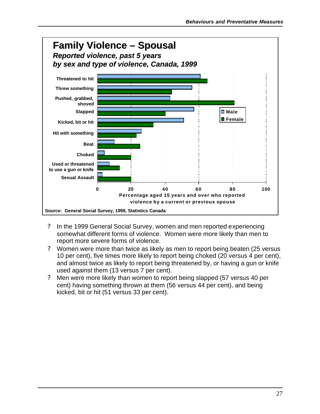

- ? In the 1999 General Social Survey, women and men reported experiencing somewhat different forms of violence. Women were more likely than men to report more severe forms of violence.
- ? Women were more than twice as likely as men to report being beaten (25 versus 10 per cent), five times more likely to report being choked (20 versus 4 per cent), and almost twice as likely to report being threatened by, or having a gun or knife used against them (13 versus 7 per cent).
- ? Men were more likely than women to report being slapped (57 versus 40 per cent) having something thrown at them (56 versus 44 per cent), and being kicked, bit or hit (51 versus 33 per cent).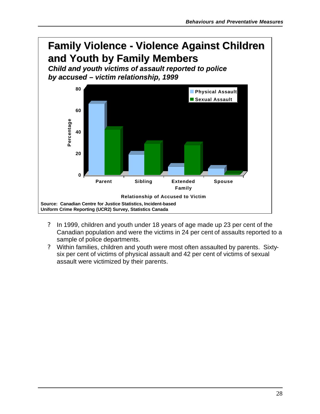### **Family Violence - Violence Against Children Family Violence - Violence Against Children and Youth by Family Members and Youth by Family Members**

*Child and youth victims of assault reported to police Child and youth victims of assault reported to police by accused – victim relationship, 1999 by accused – victim relationship, 1999*



- ? In 1999, children and youth under 18 years of age made up 23 per cent of the Canadian population and were the victims in 24 per cent of assaults reported to a sample of police departments.
- ? Within families, children and youth were most often assaulted by parents. Sixtysix per cent of victims of physical assault and 42 per cent of victims of sexual assault were victimized by their parents.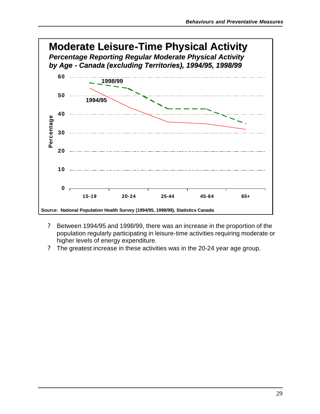

- ? Between 1994/95 and 1998/99, there was an increase in the proportion of the population regularly participating in leisure-time activities requiring moderate or higher levels of energy expenditure.
- ? The greatest increase in these activities was in the 20-24 year age group.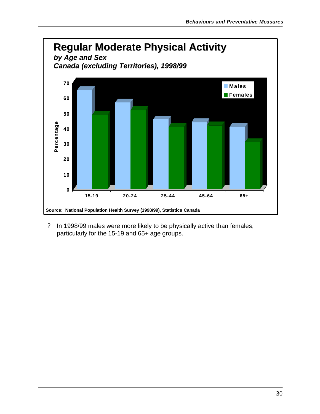

? In 1998/99 males were more likely to be physically active than females, particularly for the 15-19 and 65+ age groups.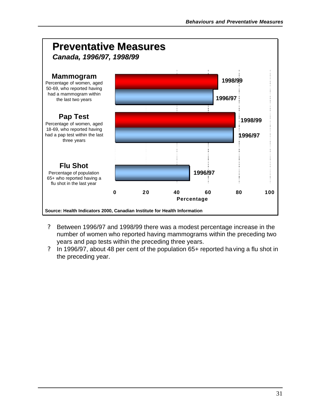

- ? Between 1996/97 and 1998/99 there was a modest percentage increase in the number of women who reported having mammograms within the preceding two years and pap tests within the preceding three years.
- ? In 1996/97, about 48 per cent of the population 65+ reported having a flu shot in the preceding year.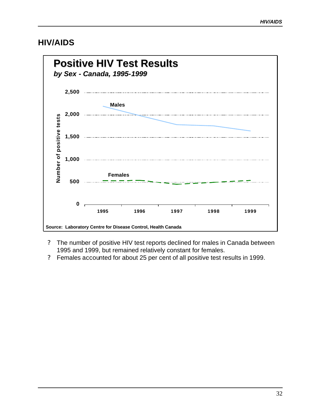#### **HIV/AIDS**



- ? The number of positive HIV test reports declined for males in Canada between 1995 and 1999, but remained relatively constant for females.
- ? Females accounted for about 25 per cent of all positive test results in 1999.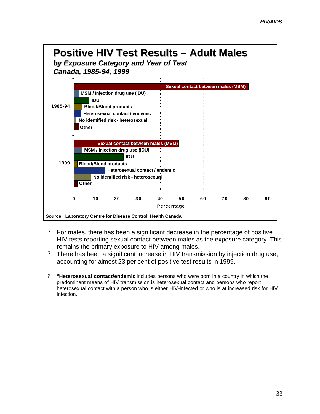

- ? For males, there has been a significant decrease in the percentage of positive HIV tests reporting sexual contact between males as the exposure category. This remains the primary exposure to HIV among males.
- ? There has been a significant increase in HIV transmission by injection drug use, accounting for almost 23 per cent of positive test results in 1999.
- ? \***Heterosexual contact/endemic** includes persons who were born in a country in which the predominant means of HIV transmission is heterosexual contact and persons who report heterosexual contact with a person who is either HIV-infected or who is at increased risk for HIV infection.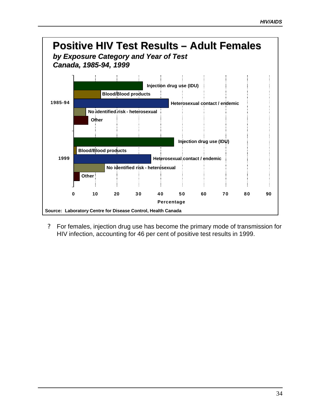

? For females, injection drug use has become the primary mode of transmission for HIV infection, accounting for 46 per cent of positive test results in 1999.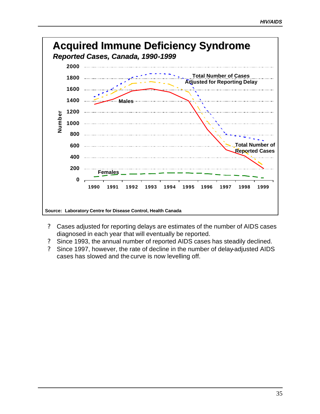

- ? Cases adjusted for reporting delays are estimates of the number of AIDS cases diagnosed in each year that will eventually be reported.
- ? Since 1993, the annual number of reported AIDS cases has steadily declined.
- ? Since 1997, however, the rate of decline in the number of delay-adjusted AIDS cases has slowed and the curve is now levelling off.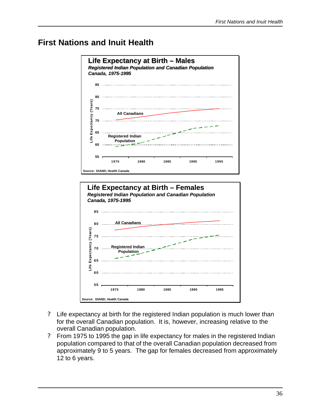### **First Nations and Inuit Health**



- ? Life expectancy at birth for the registered Indian population is much lower than for the overall Canadian population. It is, however, increasing relative to the overall Canadian population.
- ? From 1975 to 1995 the gap in life expectancy for males in the registered Indian population compared to that of the overall Canadian population decreased from approximately 9 to 5 years. The gap for females decreased from approximately 12 to 6 years.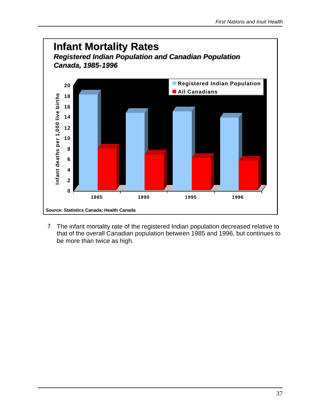

? The infant mortality rate of the registered Indian population decreased relative to that of the overall Canadian population between 1985 and 1996, but continues to be more than twice as high.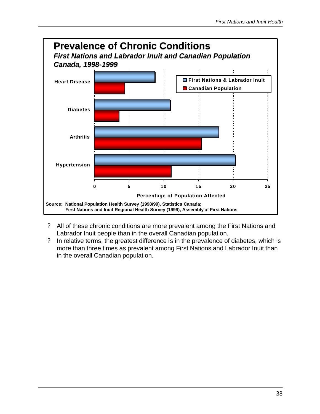

- ? All of these chronic conditions are more prevalent among the First Nations and Labrador Inuit people than in the overall Canadian population.
- ? In relative terms, the greatest difference is in the prevalence of diabetes, which is more than three times as prevalent among First Nations and Labrador Inuit than in the overall Canadian population.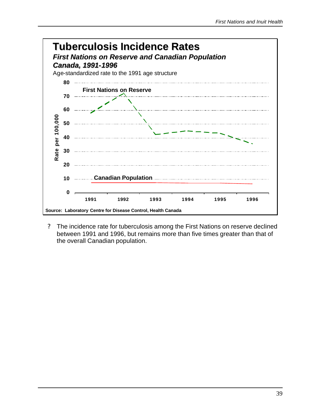

? The incidence rate for tuberculosis among the First Nations on reserve declined between 1991 and 1996, but remains more than five times greater than that of the overall Canadian population.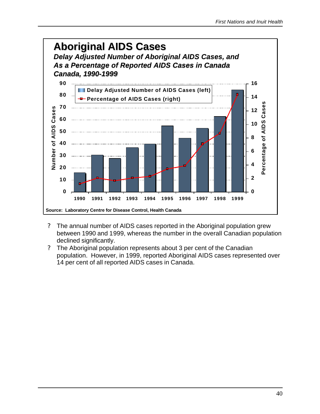

- ? The annual number of AIDS cases reported in the Aboriginal population grew between 1990 and 1999, whereas the number in the overall Canadian population declined significantly.
- ? The Aboriginal population represents about 3 per cent of the Canadian population. However, in 1999, reported Aboriginal AIDS cases represented over 14 per cent of all reported AIDS cases in Canada.